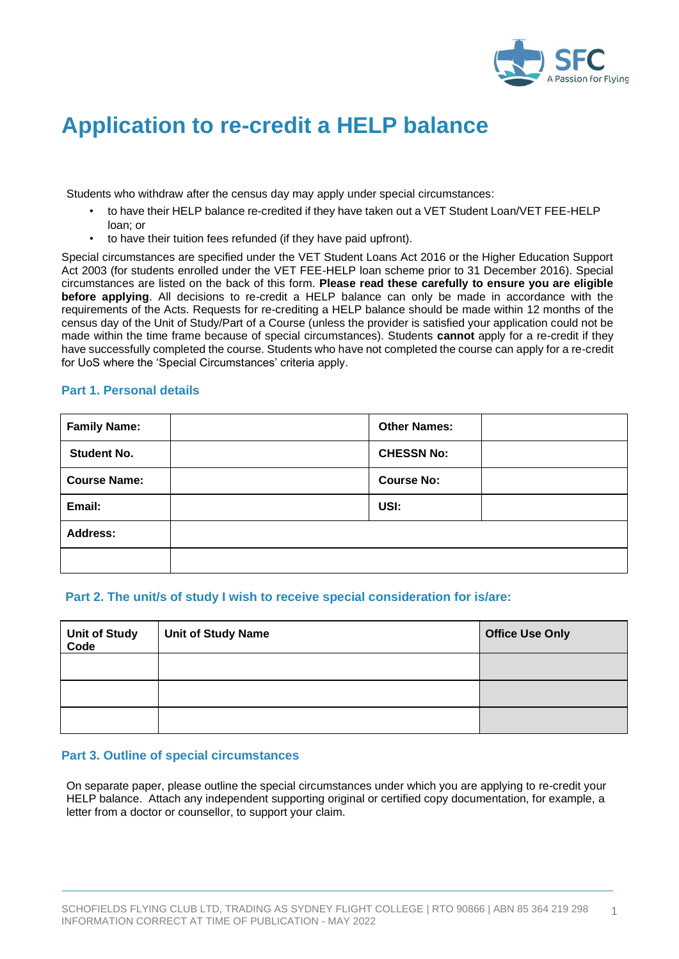

# **Application to re-credit a HELP balance**

Students who withdraw after the census day may apply under special circumstances:

- to have their HELP balance re-credited if they have taken out a VET Student Loan/VET FEE-HELP loan; or
- to have their tuition fees refunded (if they have paid upfront).

Special circumstances are specified under the VET Student Loans Act 2016 or the Higher Education Support Act 2003 (for students enrolled under the VET FEE-HELP loan scheme prior to 31 December 2016). Special circumstances are listed on the back of this form. **Please read these carefully to ensure you are eligible before applying**. All decisions to re-credit a HELP balance can only be made in accordance with the requirements of the Acts. Requests for re-crediting a HELP balance should be made within 12 months of the census day of the Unit of Study/Part of a Course (unless the provider is satisfied your application could not be made within the time frame because of special circumstances). Students **cannot** apply for a re-credit if they have successfully completed the course. Students who have not completed the course can apply for a re-credit for UoS where the 'Special Circumstances' criteria apply.

#### **Part 1. Personal details**

| <b>Family Name:</b> | <b>Other Names:</b> |  |
|---------------------|---------------------|--|
| <b>Student No.</b>  | <b>CHESSN No:</b>   |  |
| <b>Course Name:</b> | <b>Course No:</b>   |  |
| Email:              | USI:                |  |
| <b>Address:</b>     |                     |  |
|                     |                     |  |

#### **Part 2. The unit/s of study I wish to receive special consideration for is/are:**

| <b>Unit of Study<br/>Code</b> | <b>Unit of Study Name</b> | <b>Office Use Only</b> |
|-------------------------------|---------------------------|------------------------|
|                               |                           |                        |
|                               |                           |                        |
|                               |                           |                        |

#### **Part 3. Outline of special circumstances**

On separate paper, please outline the special circumstances under which you are applying to re-credit your HELP balance. Attach any independent supporting original or certified copy documentation, for example, a letter from a doctor or counsellor, to support your claim.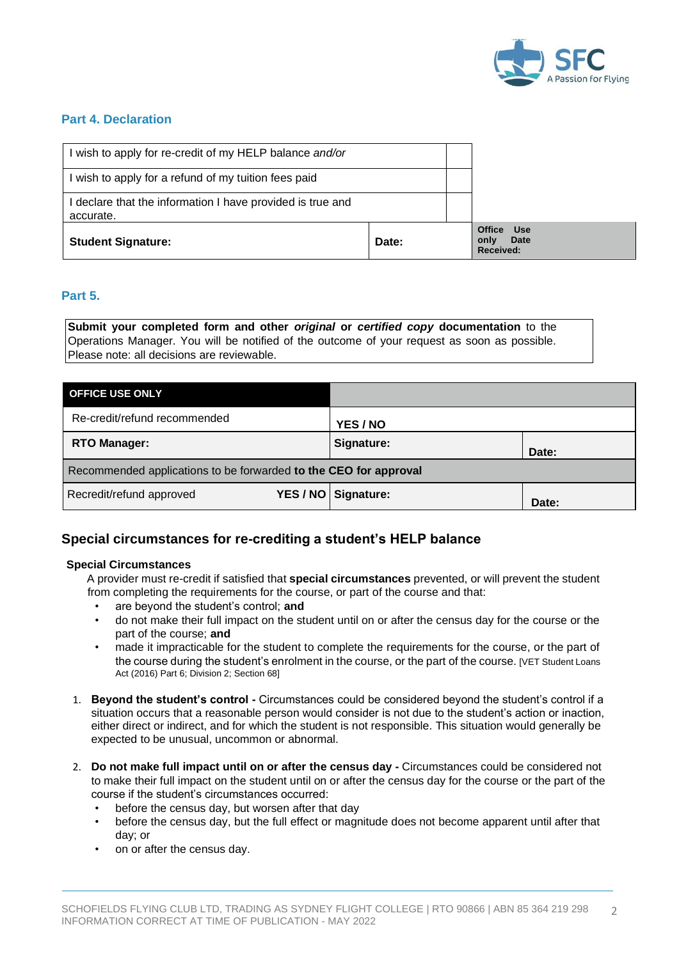

### **Part 4. Declaration**

| wish to apply for re-credit of my HELP balance and/or                 |       |                                                                        |
|-----------------------------------------------------------------------|-------|------------------------------------------------------------------------|
| wish to apply for a refund of my tuition fees paid                    |       |                                                                        |
| declare that the information I have provided is true and<br>accurate. |       |                                                                        |
| <b>Student Signature:</b>                                             | Date: | <b>Office</b><br><b>Use</b><br><b>Date</b><br>only<br><b>Received:</b> |

### **Part 5.**

**Submit your completed form and other** *original* **or** *certified copy* **documentation** to the Operations Manager. You will be notified of the outcome of your request as soon as possible. Please note: all decisions are reviewable.

| <b>OFFICE USE ONLY</b>                                           |                       |       |  |  |  |
|------------------------------------------------------------------|-----------------------|-------|--|--|--|
| Re-credit/refund recommended                                     | YES / NO              |       |  |  |  |
| <b>RTO Manager:</b>                                              | Signature:            | Date: |  |  |  |
| Recommended applications to be forwarded to the CEO for approval |                       |       |  |  |  |
| Recredit/refund approved                                         | YES / NO   Signature: | Date: |  |  |  |

## **Special circumstances for re-crediting a student's HELP balance**

#### **Special Circumstances**

A provider must re-credit if satisfied that **special circumstances** prevented, or will prevent the student from completing the requirements for the course, or part of the course and that:

- are beyond the student's control; **and**
- do not make their full impact on the student until on or after the census day for the course or the part of the course; **and**
- made it impracticable for the student to complete the requirements for the course, or the part of the course during the student's enrolment in the course, or the part of the course. [VET Student Loans Act (2016) Part 6; Division 2; Section 68]
- 1. **Beyond the student's control -** Circumstances could be considered beyond the student's control if a situation occurs that a reasonable person would consider is not due to the student's action or inaction, either direct or indirect, and for which the student is not responsible. This situation would generally be expected to be unusual, uncommon or abnormal.
- 2. **Do not make full impact until on or after the census day -** Circumstances could be considered not to make their full impact on the student until on or after the census day for the course or the part of the course if the student's circumstances occurred:
	- before the census day, but worsen after that day
	- before the census day, but the full effect or magnitude does not become apparent until after that day; or
	- on or after the census day.